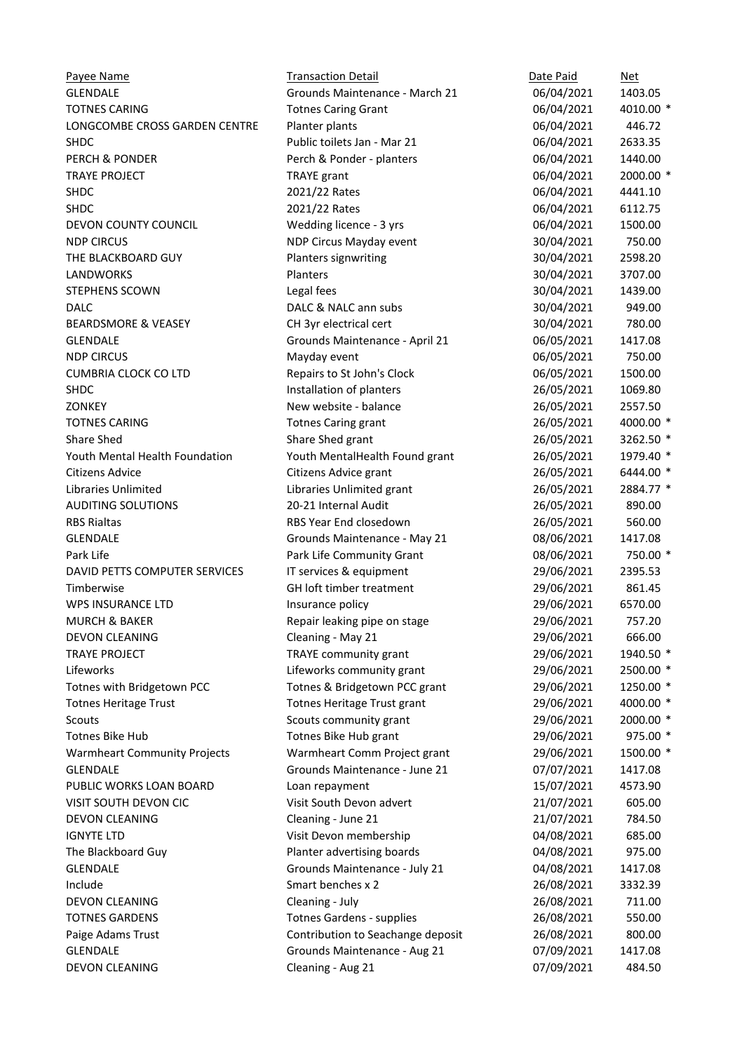Payee Name Transaction Detail Communication Detail Date Paid Net GLENDALE GIVEN Grounds Maintenance - March 21 06/04/2021 1403.05 TOTNES CARING TOTNES CARING TOTOGRAPH Totnes Caring Grant Total Caring Grant COS/04/2021 4010.00 \* LONGCOMBE CROSS GARDEN CENTRE Planter plants 06/04/2021 446.72 SHDC Public toilets Jan - Mar 21 06/04/2021 2633.35 PERCH & PONDER **PERCH & PONDER** Perch & Ponder - planters 06/04/2021 1440.00 TRAYE PROJECT TRAYE grant 06/04/2021 2000.00 \* SHDC 2021/22 Rates 06/04/2021 4441.10 SHDC 2021/22 Rates 06/04/2021 6112.75 DEVON COUNTY COUNCIL Wedding licence - 3 yrs 06/04/2021 1500.00 NDP CIRCUS NOP Circus Mayday event 30/04/2021 750.00 THE BLACKBOARD GUY **Planters signwriting** 30/04/2021 2598.20 LANDWORKS Planters 30/04/2021 3707.00 STEPHENS SCOWN Legal fees 30/04/2021 1439.00 DALC 8 NALC ann subs 30/04/2021 949.00 BEARDSMORE & VEASEY CH 3yr electrical cert 30/04/2021 780.00 GLENDALE **GRAIN GRAIN** Grounds Maintenance - April 21 06/05/2021 1417.08 NDP CIRCUS and the contract of Mayday event the contract of the contract of the contract of the contract of the contract of the contract of the contract of the contract of the contract of the contract of the contract of th CUMBRIA CLOCK CO LTD Repairs to St John's Clock 06/05/2021 1500.00 SHDC **Installation of planters** 26/05/2021 1069.80 ZONKEY New website - balance 26/05/2021 2557.50 TOTNES CARING TOTNES CARING TOTNES CARING TOTNES CARING TOTNES CARING TOTNES CARING TOTAL ASSESSMENT OF THE SCALA CONTRACT TO THE SCALA CONTRACT OF THE SCALA CONTRACT OF THE SCALA CONTRACT OF THE SCALA CONTRACT OF THE SCAL Share Shed Share Shed grant 26/05/2021 3262.50 \* Youth Mental Health Foundation Youth MentalHealth Found grant 26/05/2021 1979.40 \* Citizens Advice Citizens Advice grant 26/05/2021 6444.00 \* Libraries Unlimited Libraries Unlimited grant 26/05/2021 2884.77 \* AUDITING SOLUTIONS 20-21 Internal Audit 26/05/2021 890.00 RBS Rialtas **RBS Year End closedown** 26/05/2021 560.00 GLENDALE GIVEN Grounds Maintenance - May 21 08/06/2021 1417.08 Park Life **Park Life Community Grant** 08/06/2021 750.00 \* DAVID PETTS COMPUTER SERVICES THE SERVICES Requipment 29/06/2021 2395.53 Timberwise GH loft timber treatment 29/06/2021 861.45 WPS INSURANCE LTD **Insurance policy Insurance policy** 29/06/2021 6570.00 MURCH & BAKER **Repair leaking pipe on stage** 29/06/2021 757.20 DEVON CLEANING Cleaning - May 21 29/06/2021 666.00 TRAYE PROJECT TRAYE community grant 29/06/2021 1940.50 \* Lifeworks Lifeworks community grant 29/06/2021 2500.00 \* Totnes with Bridgetown PCC Totnes & Bridgetown PCC grant 29/06/2021 1250.00 \* Totnes Heritage Trust Totnes Heritage Trust grant 29/06/2021 4000.00 \* Scouts Scouts Community grant 29/06/2021 2000.00 \* Totnes Bike Hub Totnes Bike Hub grant 29/06/2021 975.00 \* Warmheart Community Projects Warmheart Comm Project grant 29/06/2021 1500.00 \* GLENDALE **GRAING CONTENT GRAIN** Grounds Maintenance - June 21 07/07/2021 1417.08 PUBLIC WORKS LOAN BOARD Loan repayment 15/07/2021 4573.90 VISIT SOUTH DEVON CIC Visit South Devon advert 21/07/2021 605.00 DEVON CLEANING Cleaning - June 21 21/07/2021 784.50 IGNYTE LTD Visit Devon membership 04/08/2021 685.00 The Blackboard Guy **Planter advertising boards** 04/08/2021 975.00 GLENDALE **GRAIN GRAIN** Grounds Maintenance - July 21 04/08/2021 1417.08 Include Smart benches x 2 26/08/2021 3332.39 DEVON CLEANING Cleaning - July 26/08/2021 711.00 TOTNES GARDENS Totnes Gardens - supplies 26/08/2021 550.00 Paige Adams Trust Contribution to Seachange deposit 26/08/2021 800.00 GLENDALE **GRAIN GRAIN** Grounds Maintenance - Aug 21 07/09/2021 1417.08

DEVON CLEANING **Cleaning - Aug 21** 07/09/2021 484.50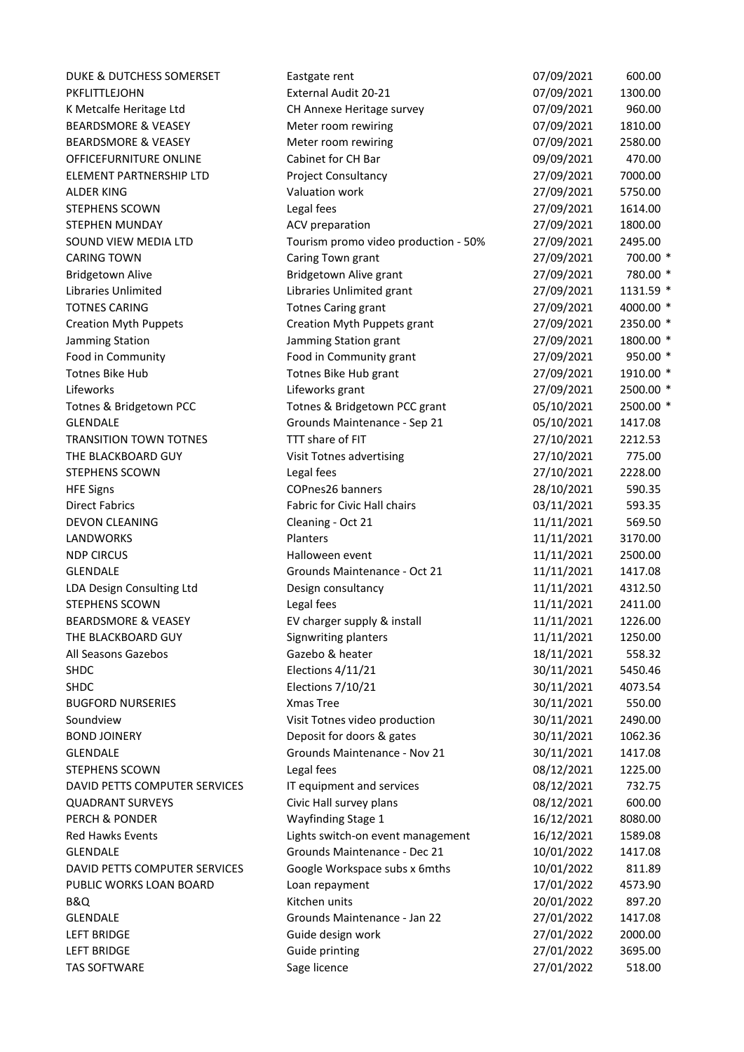| DUKE & DUTCHESS SOMERSET                                 | Eastgate rent                                                     | 07/09/2021               | 600.00             |
|----------------------------------------------------------|-------------------------------------------------------------------|--------------------------|--------------------|
| PKFLITTLEJOHN                                            | External Audit 20-21                                              | 07/09/2021               | 1300.00            |
| K Metcalfe Heritage Ltd                                  | CH Annexe Heritage survey                                         | 07/09/2021               | 960.00             |
| <b>BEARDSMORE &amp; VEASEY</b>                           | Meter room rewiring                                               | 07/09/2021               | 1810.00            |
| <b>BEARDSMORE &amp; VEASEY</b>                           | Meter room rewiring                                               | 07/09/2021               | 2580.00            |
| OFFICEFURNITURE ONLINE                                   | Cabinet for CH Bar                                                | 09/09/2021               | 470.00             |
| ELEMENT PARTNERSHIP LTD                                  | Project Consultancy                                               | 27/09/2021               | 7000.00            |
| <b>ALDER KING</b>                                        | Valuation work                                                    | 27/09/2021               | 5750.00            |
| <b>STEPHENS SCOWN</b>                                    | Legal fees                                                        | 27/09/2021               | 1614.00            |
| STEPHEN MUNDAY                                           | ACV preparation                                                   | 27/09/2021               | 1800.00            |
| SOUND VIEW MEDIA LTD                                     | Tourism promo video production - 50%                              | 27/09/2021               | 2495.00            |
| <b>CARING TOWN</b>                                       | Caring Town grant                                                 | 27/09/2021               | 700.00 *           |
| <b>Bridgetown Alive</b>                                  | Bridgetown Alive grant                                            | 27/09/2021               | 780.00 *           |
| <b>Libraries Unlimited</b>                               | Libraries Unlimited grant                                         | 27/09/2021               | 1131.59 *          |
| <b>TOTNES CARING</b>                                     | <b>Totnes Caring grant</b>                                        | 27/09/2021               | 4000.00 *          |
| <b>Creation Myth Puppets</b>                             | Creation Myth Puppets grant                                       | 27/09/2021               | 2350.00 *          |
| Jamming Station                                          | Jamming Station grant                                             | 27/09/2021               | 1800.00 *          |
| Food in Community                                        | Food in Community grant                                           | 27/09/2021               | 950.00 *           |
| <b>Totnes Bike Hub</b>                                   | Totnes Bike Hub grant                                             | 27/09/2021               | 1910.00 *          |
| Lifeworks                                                | Lifeworks grant                                                   | 27/09/2021               | 2500.00 *          |
| Totnes & Bridgetown PCC                                  | Totnes & Bridgetown PCC grant                                     | 05/10/2021               | 2500.00 *          |
| <b>GLENDALE</b>                                          | Grounds Maintenance - Sep 21                                      | 05/10/2021               | 1417.08            |
| <b>TRANSITION TOWN TOTNES</b>                            | TTT share of FIT                                                  | 27/10/2021               | 2212.53            |
| THE BLACKBOARD GUY                                       | Visit Totnes advertising                                          | 27/10/2021               | 775.00             |
| <b>STEPHENS SCOWN</b>                                    | Legal fees                                                        | 27/10/2021               | 2228.00            |
| <b>HFE Signs</b>                                         | <b>COPnes26 banners</b>                                           | 28/10/2021               | 590.35             |
| <b>Direct Fabrics</b>                                    | Fabric for Civic Hall chairs                                      | 03/11/2021               | 593.35             |
| <b>DEVON CLEANING</b>                                    | Cleaning - Oct 21                                                 | 11/11/2021               | 569.50             |
| <b>LANDWORKS</b>                                         | Planters                                                          | 11/11/2021               | 3170.00            |
| <b>NDP CIRCUS</b>                                        | Halloween event                                                   | 11/11/2021               | 2500.00            |
| <b>GLENDALE</b>                                          | Grounds Maintenance - Oct 21                                      | 11/11/2021               | 1417.08            |
| LDA Design Consulting Ltd                                |                                                                   | 11/11/2021               | 4312.50            |
| <b>STEPHENS SCOWN</b>                                    | Design consultancy<br>Legal fees                                  | 11/11/2021               | 2411.00            |
| <b>BEARDSMORE &amp; VEASEY</b>                           |                                                                   | 11/11/2021               | 1226.00            |
| THE BLACKBOARD GUY                                       | EV charger supply & install<br>Signwriting planters               | 11/11/2021               | 1250.00            |
| All Seasons Gazebos                                      | Gazebo & heater                                                   | 18/11/2021               | 558.32             |
| <b>SHDC</b>                                              | Elections 4/11/21                                                 | 30/11/2021               |                    |
| <b>SHDC</b>                                              |                                                                   | 30/11/2021               | 5450.46            |
| <b>BUGFORD NURSERIES</b>                                 | Elections 7/10/21<br>Xmas Tree                                    | 30/11/2021               | 4073.54            |
| Soundview                                                | Visit Totnes video production                                     | 30/11/2021               | 550.00             |
| <b>BOND JOINERY</b>                                      | Deposit for doors & gates                                         | 30/11/2021               | 2490.00<br>1062.36 |
| <b>GLENDALE</b>                                          | Grounds Maintenance - Nov 21                                      | 30/11/2021               | 1417.08            |
|                                                          |                                                                   |                          |                    |
| <b>STEPHENS SCOWN</b>                                    | Legal fees                                                        | 08/12/2021               | 1225.00            |
| DAVID PETTS COMPUTER SERVICES                            | IT equipment and services                                         | 08/12/2021<br>08/12/2021 | 732.75             |
| <b>QUADRANT SURVEYS</b>                                  | Civic Hall survey plans                                           |                          | 600.00             |
| <b>PERCH &amp; PONDER</b>                                | <b>Wayfinding Stage 1</b>                                         | 16/12/2021               | 8080.00            |
| <b>Red Hawks Events</b><br><b>GLENDALE</b>               | Lights switch-on event management<br>Grounds Maintenance - Dec 21 | 16/12/2021<br>10/01/2022 | 1589.08            |
|                                                          |                                                                   |                          | 1417.08            |
| DAVID PETTS COMPUTER SERVICES<br>PUBLIC WORKS LOAN BOARD | Google Workspace subs x 6mths                                     | 10/01/2022               | 811.89             |
|                                                          | Loan repayment<br>Kitchen units                                   | 17/01/2022               | 4573.90            |
| B&Q                                                      |                                                                   | 20/01/2022               | 897.20             |
| <b>GLENDALE</b>                                          | Grounds Maintenance - Jan 22                                      | 27/01/2022               | 1417.08            |
| <b>LEFT BRIDGE</b>                                       | Guide design work                                                 | 27/01/2022               | 2000.00            |
| <b>LEFT BRIDGE</b>                                       | Guide printing                                                    | 27/01/2022               | 3695.00            |
| <b>TAS SOFTWARE</b>                                      | Sage licence                                                      | 27/01/2022               | 518.00             |